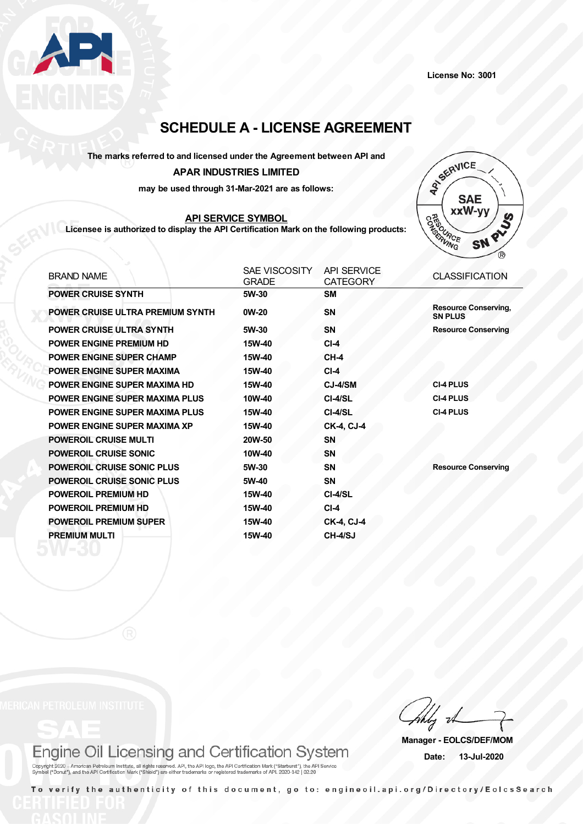

# **SCHEDULE A - LICENSE AGREEMENT**

## **The marks referred to and licensed under the Agreement between API and APAR INDUSTRIES LIMITED**

**may be used through 31-Mar-2021 are as follows:**

### **API SERVICE SYMBOL**

**Licensee is authorized to display the API Certification Mark on the following products:**



| <b>BRAND NAME</b>                     | SAE VISCOSITY<br><b>GRADE</b> | <b>API SERVICE</b><br><b>CATEGORY</b> | <b>CLASSIFICATION</b>                         |
|---------------------------------------|-------------------------------|---------------------------------------|-----------------------------------------------|
| <b>POWER CRUISE SYNTH</b>             | 5W-30                         | <b>SM</b>                             |                                               |
| POWER CRUISE ULTRA PREMIUM SYNTH      | 0W-20                         | <b>SN</b>                             | <b>Resource Conserving,</b><br><b>SN PLUS</b> |
| <b>POWER CRUISE ULTRA SYNTH</b>       | 5W-30                         | <b>SN</b>                             | <b>Resource Conserving</b>                    |
| <b>POWER ENGINE PREMIUM HD</b>        | 15W-40                        | $CI-4$                                |                                               |
| <b>POWER ENGINE SUPER CHAMP</b>       | 15W-40                        | $CH-4$                                |                                               |
| <b>POWER ENGINE SUPER MAXIMA</b>      | 15W-40                        | $CI-4$                                |                                               |
| <b>POWER ENGINE SUPER MAXIMA HD</b>   | 15W-40                        | CJ-4/SM                               | <b>CI-4 PLUS</b>                              |
| <b>POWER ENGINE SUPER MAXIMA PLUS</b> | 10W-40                        | CI-4/SL                               | <b>CI-4 PLUS</b>                              |
| POWER ENGINE SUPER MAXIMA PLUS        | 15W-40                        | CI-4/SL                               | <b>CI-4 PLUS</b>                              |
| <b>POWER ENGINE SUPER MAXIMA XP</b>   | 15W-40                        | <b>CK-4, CJ-4</b>                     |                                               |
| <b>POWEROIL CRUISE MULTI</b>          | 20W-50                        | <b>SN</b>                             |                                               |
| <b>POWEROIL CRUISE SONIC</b>          | 10W-40                        | <b>SN</b>                             |                                               |
| <b>POWEROIL CRUISE SONIC PLUS</b>     | 5W-30                         | <b>SN</b>                             | <b>Resource Conserving</b>                    |
| <b>POWEROIL CRUISE SONIC PLUS</b>     | 5W-40                         | <b>SN</b>                             |                                               |
| <b>POWEROIL PREMIUM HD</b>            | 15W-40                        | CI-4/SL                               |                                               |
| <b>POWEROIL PREMIUM HD</b>            | 15W-40                        | $CI-4$                                |                                               |
| <b>POWEROIL PREMIUM SUPER</b>         | 15W-40                        | <b>CK-4, CJ-4</b>                     |                                               |
| <b>PREMIUM MULTI</b>                  | 15W-40                        | CH-4/SJ                               |                                               |
|                                       |                               |                                       |                                               |

Engine Oil Licensing and Certification System

Copyright 2020 - American Petroleum Institute, all rights reserved. API, the API logo, the API Certification Mark ("Starburst"), the API Service<br>Symbol ("Donut"), and the API Certification Mark ("Shield") are either tradem

**Manager - EOLCS/DEF/MOM Date: 13-Jul-2020**